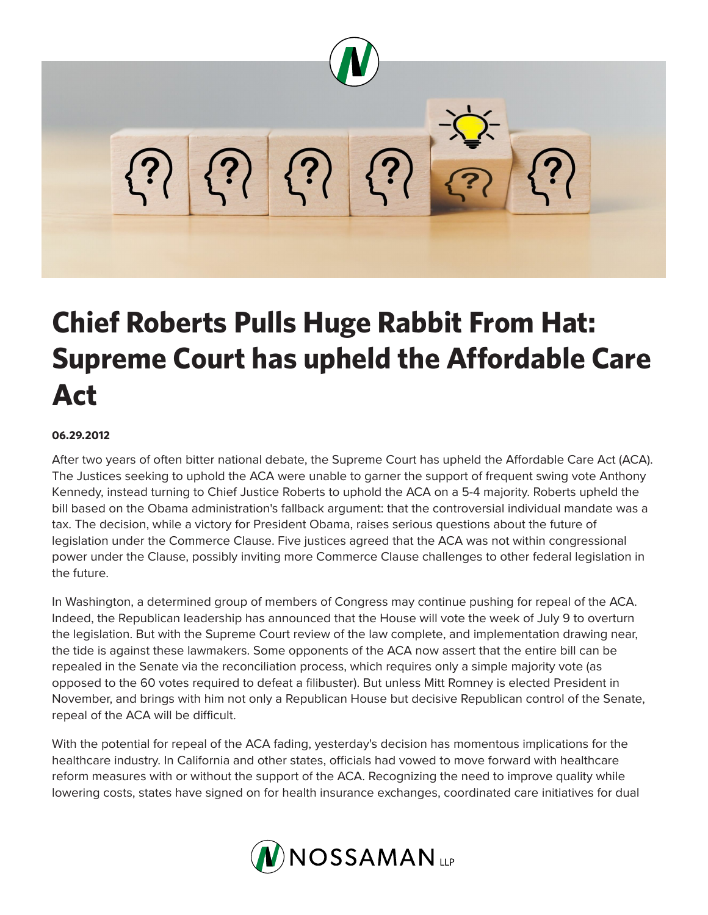

## **Chief Roberts Pulls Huge Rabbit From Hat: Supreme Court has upheld the Affordable Care Act**

## **06.29.2012**

After two years of often bitter national debate, the Supreme Court has upheld the Affordable Care Act (ACA). The Justices seeking to uphold the ACA were unable to garner the support of frequent swing vote Anthony Kennedy, instead turning to Chief Justice Roberts to uphold the ACA on a 5-4 majority. Roberts upheld the bill based on the Obama administration's fallback argument: that the controversial individual mandate was a tax. The decision, while a victory for President Obama, raises serious questions about the future of legislation under the Commerce Clause. Five justices agreed that the ACA was not within congressional power under the Clause, possibly inviting more Commerce Clause challenges to other federal legislation in the future.

In Washington, a determined group of members of Congress may continue pushing for repeal of the ACA. Indeed, the Republican leadership has announced that the House will vote the week of July 9 to overturn the legislation. But with the Supreme Court review of the law complete, and implementation drawing near, the tide is against these lawmakers. Some opponents of the ACA now assert that the entire bill can be repealed in the Senate via the reconciliation process, which requires only a simple majority vote (as opposed to the 60 votes required to defeat a filibuster). But unless Mitt Romney is elected President in November, and brings with him not only a Republican House but decisive Republican control of the Senate, repeal of the ACA will be difficult.

With the potential for repeal of the ACA fading, yesterday's decision has momentous implications for the healthcare industry. In California and other states, officials had vowed to move forward with healthcare reform measures with or without the support of the ACA. Recognizing the need to improve quality while lowering costs, states have signed on for health insurance exchanges, coordinated care initiatives for dual